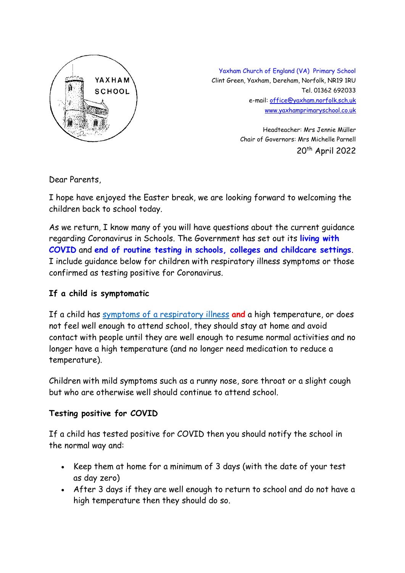

Yaxham Church of England (VA) Primary School Clint Green, Yaxham, Dereham, Norfolk, NR19 1RU Tel. 01362 692033 e-mail[: office@yaxham.norfolk.sch.uk](mailto:office@yaxham.norfolk.sch.uk) [www.yaxhamprimaryschool.co.uk](http://www.yaxhamprimaryschool.co.uk/)

> Headteacher: Mrs Jennie Müller Chair of Governors: Mrs Michelle Parnell 20th April 2022

Dear Parents,

I hope have enjoyed the Easter break, we are looking forward to welcoming the children back to school today.

As we return, I know many of you will have questions about the current guidance regarding Coronavirus in Schools. The Government has set out its **[living with](https://www.gov.uk/government/news/government-sets-out-next-steps-for-living-with-covid)  [COVID](https://www.gov.uk/government/news/government-sets-out-next-steps-for-living-with-covid)** and **[end of routine testing in schools, colleges and childcare settings](https://educationhub.blog.gov.uk/2022/03/30/living-with-covid-the-end-of-routine-testing-in-schools-colleges-and-childcare-settings/)**. I include guidance below for children with respiratory illness symptoms or those confirmed as testing positive for Coronavirus.

## **If a child is symptomatic**

If a child has symptoms of a [respiratory](https://www.gov.uk/guidance/people-with-symptoms-of-a-respiratory-infection-including-covid-19#symptoms-of-respiratory-infections-including-covid-19) illness **and** a high temperature, or does not feel well enough to attend school, they should stay at home and avoid contact with people until they are well enough to resume normal activities and no longer have a high temperature (and no longer need medication to reduce a temperature).

Children with mild symptoms such as a runny nose, sore throat or a slight cough but who are otherwise well should continue to attend school.

## **Testing positive for COVID**

If a child has tested positive for COVID then you should notify the school in the normal way and:

- Keep them at home for a minimum of 3 days (with the date of your test as day zero)
- After 3 days if they are well enough to return to school and do not have a high temperature then they should do so.